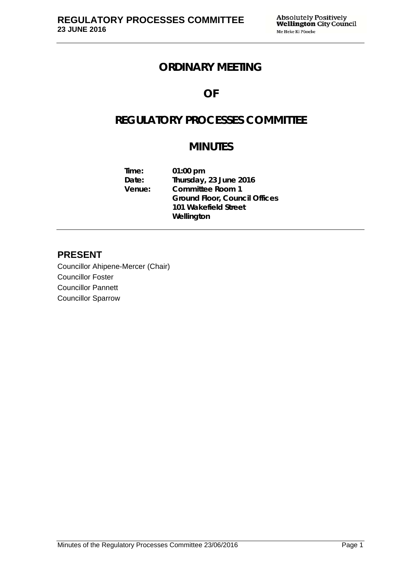# **ORDINARY MEETING**

# **OF**

# **REGULATORY PROCESSES COMMITTEE**

# **MINUTES**

**Time: 01:00 pm Date: Thursday, 23 June 2016 Venue: Committee Room 1 Ground Floor, Council Offices 101 Wakefield Street Wellington** 

# **PRESENT**

Councillor Ahipene-Mercer (Chair) Councillor Foster Councillor Pannett Councillor Sparrow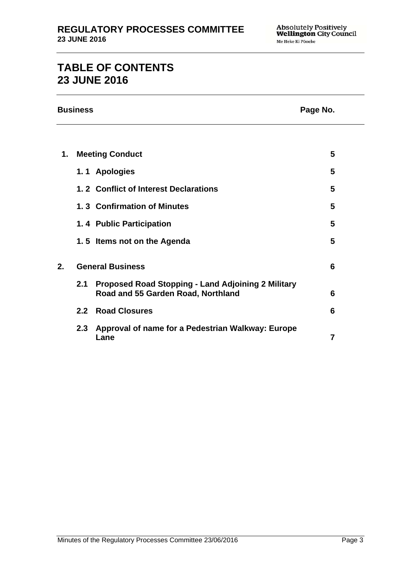# **TABLE OF CONTENTS 23 JUNE 2016**

|    | <b>Business</b><br>Page No. |                                                                                                 |                |  |
|----|-----------------------------|-------------------------------------------------------------------------------------------------|----------------|--|
|    |                             |                                                                                                 |                |  |
| 1. | <b>Meeting Conduct</b>      |                                                                                                 | 5              |  |
|    |                             | 1.1 Apologies                                                                                   | 5              |  |
|    |                             | 1.2 Conflict of Interest Declarations                                                           | 5              |  |
|    |                             | 1.3 Confirmation of Minutes                                                                     | 5              |  |
|    |                             | 1.4 Public Participation                                                                        | 5              |  |
|    |                             | 1.5 Items not on the Agenda                                                                     | 5              |  |
| 2. | <b>General Business</b>     |                                                                                                 | 6              |  |
|    | 2.1                         | <b>Proposed Road Stopping - Land Adjoining 2 Military</b><br>Road and 55 Garden Road, Northland | 6              |  |
|    | 2.2 <sub>2</sub>            | <b>Road Closures</b>                                                                            | 6              |  |
|    |                             | 2.3 Approval of name for a Pedestrian Walkway: Europe<br>Lane                                   | $\overline{7}$ |  |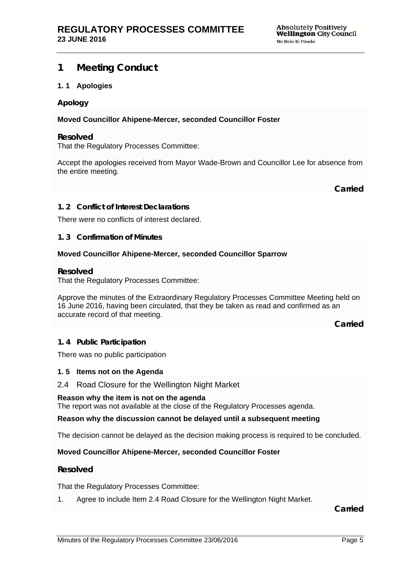# **1 Meeting Conduct**

# **1. 1 Apologies**

#### **Apology**

# **Moved Councillor Ahipene-Mercer, seconded Councillor Foster**

#### **Resolved**

That the Regulatory Processes Committee:

Accept the apologies received from Mayor Wade-Brown and Councillor Lee for absence from the entire meeting.

**Carried**

#### **1. 2 Conflict of Interest Declarations**

There were no conflicts of interest declared.

#### **1. 3 Confirmation of Minutes**

#### **Moved Councillor Ahipene-Mercer, seconded Councillor Sparrow**

#### **Resolved**

That the Regulatory Processes Committee:

Approve the minutes of the Extraordinary Regulatory Processes Committee Meeting held on 16 June 2016, having been circulated, that they be taken as read and confirmed as an accurate record of that meeting.

**Carried**

#### **1. 4 Public Participation**

There was no public participation

#### **1. 5 Items not on the Agenda**

# 2.4 Road Closure for the Wellington Night Market

#### **Reason why the item is not on the agenda**

The report was not available at the close of the Regulatory Processes agenda.

#### **Reason why the discussion cannot be delayed until a subsequent meeting**

The decision cannot be delayed as the decision making process is required to be concluded.

# **Moved Councillor Ahipene-Mercer, seconded Councillor Foster**

# **Resolved**

That the Regulatory Processes Committee:

1. Agree to include Item 2.4 Road Closure for the Wellington Night Market.

**Carried**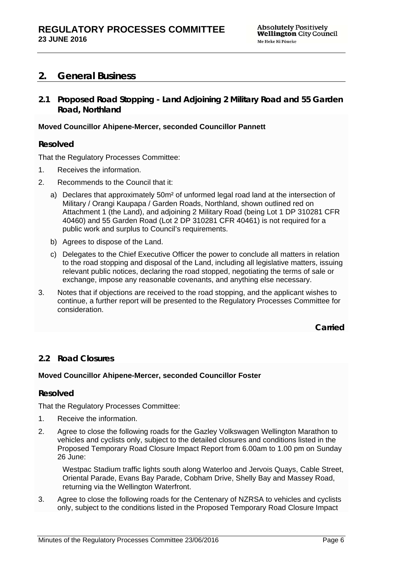# **2. General Business**

**2.1 Proposed Road Stopping - Land Adjoining 2 Military Road and 55 Garden Road, Northland**

# **Moved Councillor Ahipene-Mercer, seconded Councillor Pannett**

# **Resolved**

That the Regulatory Processes Committee:

- 1. Receives the information.
- 2. Recommends to the Council that it:
	- a) Declares that approximately 50m² of unformed legal road land at the intersection of Military / Orangi Kaupapa / Garden Roads, Northland, shown outlined red on Attachment 1 (the Land), and adjoining 2 Military Road (being Lot 1 DP 310281 CFR 40460) and 55 Garden Road (Lot 2 DP 310281 CFR 40461) is not required for a public work and surplus to Council's requirements.
	- b) Agrees to dispose of the Land.
	- c) Delegates to the Chief Executive Officer the power to conclude all matters in relation to the road stopping and disposal of the Land, including all legislative matters, issuing relevant public notices, declaring the road stopped, negotiating the terms of sale or exchange, impose any reasonable covenants, and anything else necessary.
- 3. Notes that if objections are received to the road stopping, and the applicant wishes to continue, a further report will be presented to the Regulatory Processes Committee for consideration.

**Carried**

# **2.2 Road Closures**

# **Moved Councillor Ahipene-Mercer, seconded Councillor Foster**

# **Resolved**

That the Regulatory Processes Committee:

- 1. Receive the information.
- 2. Agree to close the following roads for the Gazley Volkswagen Wellington Marathon to vehicles and cyclists only, subject to the detailed closures and conditions listed in the Proposed Temporary Road Closure Impact Report from 6.00am to 1.00 pm on Sunday 26 June:

Westpac Stadium traffic lights south along Waterloo and Jervois Quays, Cable Street, Oriental Parade, Evans Bay Parade, Cobham Drive, Shelly Bay and Massey Road, returning via the Wellington Waterfront.

3. Agree to close the following roads for the Centenary of NZRSA to vehicles and cyclists only, subject to the conditions listed in the Proposed Temporary Road Closure Impact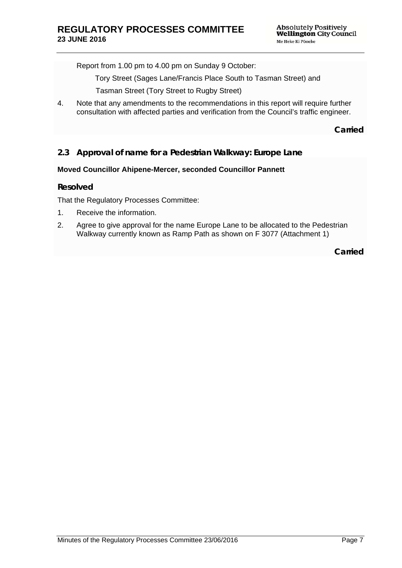Report from 1.00 pm to 4.00 pm on Sunday 9 October:

Tory Street (Sages Lane/Francis Place South to Tasman Street) and

Tasman Street (Tory Street to Rugby Street)

4. Note that any amendments to the recommendations in this report will require further consultation with affected parties and verification from the Council's traffic engineer.

**Carried**

# **2.3 Approval of name for a Pedestrian Walkway: Europe Lane**

#### **Moved Councillor Ahipene-Mercer, seconded Councillor Pannett**

#### **Resolved**

That the Regulatory Processes Committee:

- 1. Receive the information.
- 2. Agree to give approval for the name Europe Lane to be allocated to the Pedestrian Walkway currently known as Ramp Path as shown on F 3077 (Attachment 1)

**Carried**